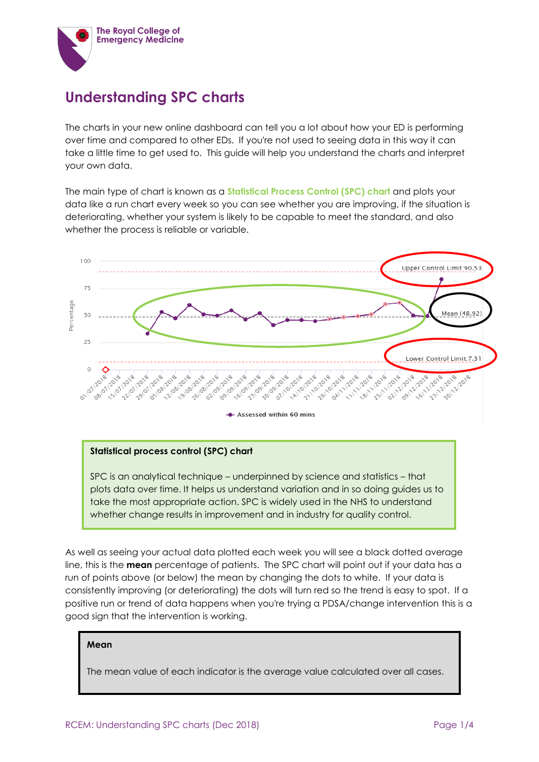

## **Understanding SPC charts**

The charts in your new online dashboard can tell you a lot about how your ED is performing over time and compared to other EDs. If you're not used to seeing data in this way it can take a little time to get used to. This guide will help you understand the charts and interpret your own data.

The main type of chart is known as a **Statistical Process Control (SPC) chart** and plots your data like a run chart every week so you can see whether you are improving, if the situation is deteriorating, whether your system is likely to be capable to meet the standard, and also whether the process is reliable or variable.



### **Statistical process control (SPC) chart**

SPC is an analytical technique – underpinned by science and statistics – that plots data over time. It helps us understand variation and in so doing guides us to take the most appropriate action. SPC is widely used in the NHS to understand whether change results in improvement and in industry for quality control.

As well as seeing your actual data plotted each week you will see a black dotted average line, this is the **mean** percentage of patients. The SPC chart will point out if your data has a run of points above (or below) the mean by changing the dots to white. If your data is consistently improving (or deteriorating) the dots will turn red so the trend is easy to spot. If a positive run or trend of data happens when you're trying a PDSA/change intervention this is a good sign that the intervention is working.

### **Mean**

The mean value of each indicator is the average value calculated over all cases.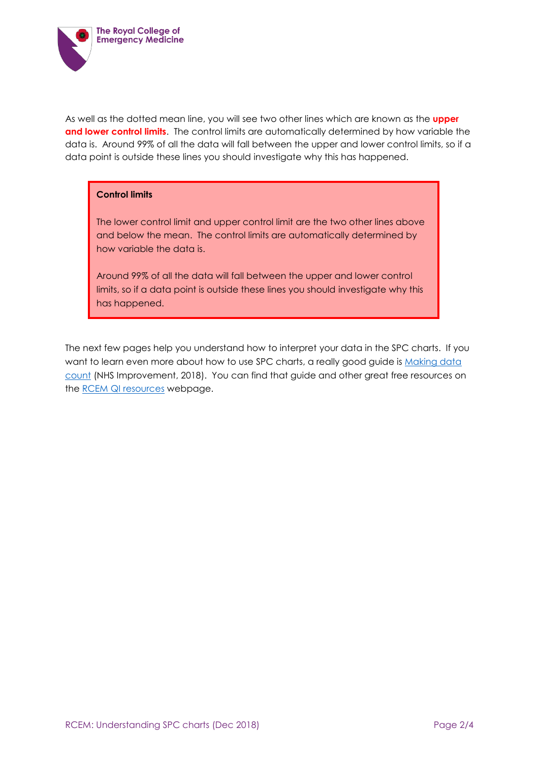

As well as the dotted mean line, you will see two other lines which are known as the **upper and lower control limits**. The control limits are automatically determined by how variable the data is. Around 99% of all the data will fall between the upper and lower control limits, so if a data point is outside these lines you should investigate why this has happened.

## **Control limits**

The lower control limit and upper control limit are the two other lines above and below the mean. The control limits are automatically determined by how variable the data is.

Around 99% of all the data will fall between the upper and lower control limits, so if a data point is outside these lines you should investigate why this has happened.

The next few pages help you understand how to interpret your data in the SPC charts. If you want to learn even more about how to use SPC charts, a really good guide is Making data [count](https://improvement.nhs.uk/documents/2748/NHS_MAKING_DATA_COUNT_FINAL.pdf) (NHS Improvement, 2018). You can find that guide and other great free resources on the [RCEM QI resources](https://www.rcem.ac.uk/RCEM/Quality_Policy/Quality_Improvement_Clinical_Audit/QI_Resources/RCEM/Quality-Policy/Quality_Improvement_Clinical_Audit/QI_Resources.aspx?hkey=e014f99c-14a8-4010-8bd2-a6abd2a7b626) webpage.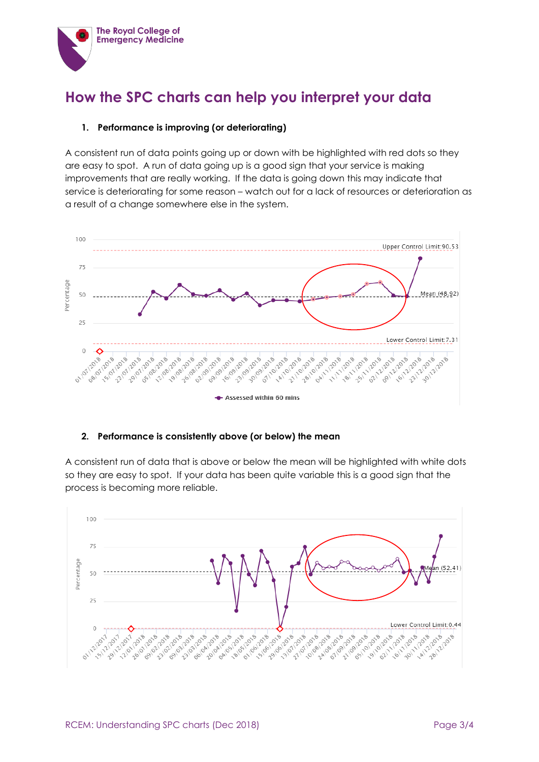

# **How the SPC charts can help you interpret your data**

### **1. Performance is improving (or deteriorating)**

A consistent run of data points going up or down with be highlighted with red dots so they are easy to spot. A run of data going up is a good sign that your service is making improvements that are really working. If the data is going down this may indicate that service is deteriorating for some reason – watch out for a lack of resources or deterioration as a result of a change somewhere else in the system.



## **2. Performance is consistently above (or below) the mean**

A consistent run of data that is above or below the mean will be highlighted with white dots so they are easy to spot. If your data has been quite variable this is a good sign that the process is becoming more reliable.